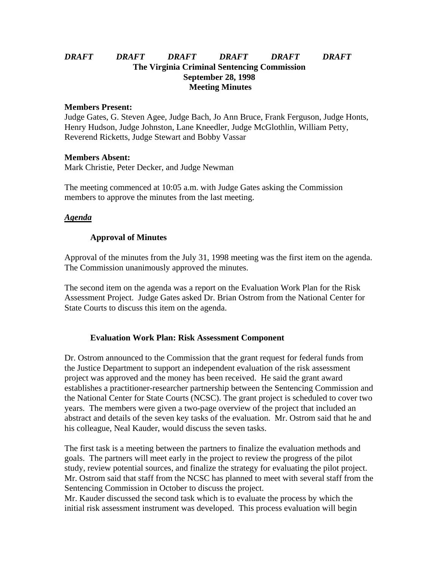# *DRAFT DRAFT DRAFT DRAFT DRAFT DRAFT* **The Virginia Criminal Sentencing Commission September 28, 1998 Meeting Minutes**

#### **Members Present:**

Judge Gates, G. Steven Agee, Judge Bach, Jo Ann Bruce, Frank Ferguson, Judge Honts, Henry Hudson, Judge Johnston, Lane Kneedler, Judge McGlothlin, William Petty, Reverend Ricketts, Judge Stewart and Bobby Vassar

### **Members Absent:**

Mark Christie, Peter Decker, and Judge Newman

The meeting commenced at 10:05 a.m. with Judge Gates asking the Commission members to approve the minutes from the last meeting.

## *Agenda*

## **Approval of Minutes**

Approval of the minutes from the July 31, 1998 meeting was the first item on the agenda. The Commission unanimously approved the minutes.

The second item on the agenda was a report on the Evaluation Work Plan for the Risk Assessment Project. Judge Gates asked Dr. Brian Ostrom from the National Center for State Courts to discuss this item on the agenda.

## **Evaluation Work Plan: Risk Assessment Component**

Dr. Ostrom announced to the Commission that the grant request for federal funds from the Justice Department to support an independent evaluation of the risk assessment project was approved and the money has been received. He said the grant award establishes a practitioner-researcher partnership between the Sentencing Commission and the National Center for State Courts (NCSC). The grant project is scheduled to cover two years. The members were given a two-page overview of the project that included an abstract and details of the seven key tasks of the evaluation. Mr. Ostrom said that he and his colleague, Neal Kauder, would discuss the seven tasks.

The first task is a meeting between the partners to finalize the evaluation methods and goals. The partners will meet early in the project to review the progress of the pilot study, review potential sources, and finalize the strategy for evaluating the pilot project. Mr. Ostrom said that staff from the NCSC has planned to meet with several staff from the Sentencing Commission in October to discuss the project.

Mr. Kauder discussed the second task which is to evaluate the process by which the initial risk assessment instrument was developed. This process evaluation will begin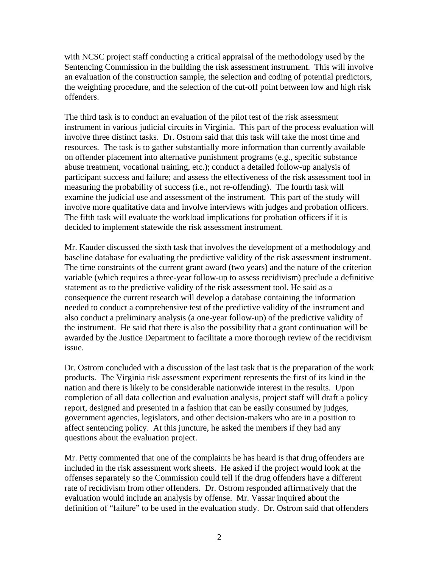with NCSC project staff conducting a critical appraisal of the methodology used by the Sentencing Commission in the building the risk assessment instrument. This will involve an evaluation of the construction sample, the selection and coding of potential predictors, the weighting procedure, and the selection of the cut-off point between low and high risk offenders.

The third task is to conduct an evaluation of the pilot test of the risk assessment instrument in various judicial circuits in Virginia. This part of the process evaluation will involve three distinct tasks. Dr. Ostrom said that this task will take the most time and resources. The task is to gather substantially more information than currently available on offender placement into alternative punishment programs (e.g., specific substance abuse treatment, vocational training, etc.); conduct a detailed follow-up analysis of participant success and failure; and assess the effectiveness of the risk assessment tool in measuring the probability of success (i.e., not re-offending). The fourth task will examine the judicial use and assessment of the instrument. This part of the study will involve more qualitative data and involve interviews with judges and probation officers. The fifth task will evaluate the workload implications for probation officers if it is decided to implement statewide the risk assessment instrument.

Mr. Kauder discussed the sixth task that involves the development of a methodology and baseline database for evaluating the predictive validity of the risk assessment instrument. The time constraints of the current grant award (two years) and the nature of the criterion variable (which requires a three-year follow-up to assess recidivism) preclude a definitive statement as to the predictive validity of the risk assessment tool. He said as a consequence the current research will develop a database containing the information needed to conduct a comprehensive test of the predictive validity of the instrument and also conduct a preliminary analysis (a one-year follow-up) of the predictive validity of the instrument. He said that there is also the possibility that a grant continuation will be awarded by the Justice Department to facilitate a more thorough review of the recidivism issue.

Dr. Ostrom concluded with a discussion of the last task that is the preparation of the work products. The Virginia risk assessment experiment represents the first of its kind in the nation and there is likely to be considerable nationwide interest in the results. Upon completion of all data collection and evaluation analysis, project staff will draft a policy report, designed and presented in a fashion that can be easily consumed by judges, government agencies, legislators, and other decision-makers who are in a position to affect sentencing policy. At this juncture, he asked the members if they had any questions about the evaluation project.

Mr. Petty commented that one of the complaints he has heard is that drug offenders are included in the risk assessment work sheets. He asked if the project would look at the offenses separately so the Commission could tell if the drug offenders have a different rate of recidivism from other offenders. Dr. Ostrom responded affirmatively that the evaluation would include an analysis by offense. Mr. Vassar inquired about the definition of "failure" to be used in the evaluation study. Dr. Ostrom said that offenders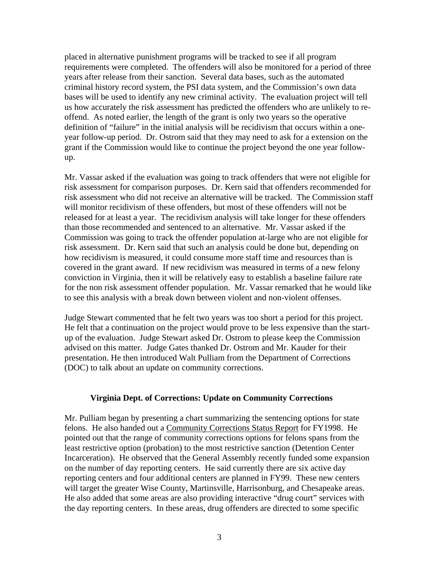placed in alternative punishment programs will be tracked to see if all program requirements were completed. The offenders will also be monitored for a period of three years after release from their sanction. Several data bases, such as the automated criminal history record system, the PSI data system, and the Commission's own data bases will be used to identify any new criminal activity. The evaluation project will tell us how accurately the risk assessment has predicted the offenders who are unlikely to reoffend. As noted earlier, the length of the grant is only two years so the operative definition of "failure" in the initial analysis will be recidivism that occurs within a oneyear follow-up period. Dr. Ostrom said that they may need to ask for a extension on the grant if the Commission would like to continue the project beyond the one year followup.

Mr. Vassar asked if the evaluation was going to track offenders that were not eligible for risk assessment for comparison purposes. Dr. Kern said that offenders recommended for risk assessment who did not receive an alternative will be tracked. The Commission staff will monitor recidivism of these offenders, but most of these offenders will not be released for at least a year. The recidivism analysis will take longer for these offenders than those recommended and sentenced to an alternative. Mr. Vassar asked if the Commission was going to track the offender population at-large who are not eligible for risk assessment. Dr. Kern said that such an analysis could be done but, depending on how recidivism is measured, it could consume more staff time and resources than is covered in the grant award. If new recidivism was measured in terms of a new felony conviction in Virginia, then it will be relatively easy to establish a baseline failure rate for the non risk assessment offender population. Mr. Vassar remarked that he would like to see this analysis with a break down between violent and non-violent offenses.

Judge Stewart commented that he felt two years was too short a period for this project. He felt that a continuation on the project would prove to be less expensive than the startup of the evaluation. Judge Stewart asked Dr. Ostrom to please keep the Commission advised on this matter. Judge Gates thanked Dr. Ostrom and Mr. Kauder for their presentation. He then introduced Walt Pulliam from the Department of Corrections (DOC) to talk about an update on community corrections.

#### **Virginia Dept. of Corrections: Update on Community Corrections**

Mr. Pulliam began by presenting a chart summarizing the sentencing options for state felons. He also handed out a Community Corrections Status Report for FY1998. He pointed out that the range of community corrections options for felons spans from the least restrictive option (probation) to the most restrictive sanction (Detention Center Incarceration). He observed that the General Assembly recently funded some expansion on the number of day reporting centers. He said currently there are six active day reporting centers and four additional centers are planned in FY99. These new centers will target the greater Wise County, Martinsville, Harrisonburg, and Chesapeake areas. He also added that some areas are also providing interactive "drug court" services with the day reporting centers. In these areas, drug offenders are directed to some specific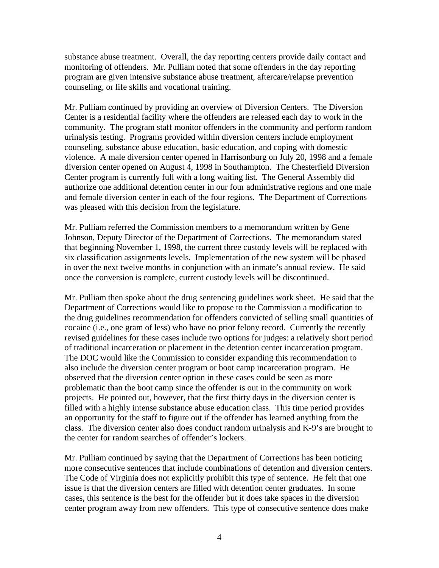substance abuse treatment. Overall, the day reporting centers provide daily contact and monitoring of offenders. Mr. Pulliam noted that some offenders in the day reporting program are given intensive substance abuse treatment, aftercare/relapse prevention counseling, or life skills and vocational training.

Mr. Pulliam continued by providing an overview of Diversion Centers. The Diversion Center is a residential facility where the offenders are released each day to work in the community. The program staff monitor offenders in the community and perform random urinalysis testing. Programs provided within diversion centers include employment counseling, substance abuse education, basic education, and coping with domestic violence. A male diversion center opened in Harrisonburg on July 20, 1998 and a female diversion center opened on August 4, 1998 in Southampton. The Chesterfield Diversion Center program is currently full with a long waiting list. The General Assembly did authorize one additional detention center in our four administrative regions and one male and female diversion center in each of the four regions. The Department of Corrections was pleased with this decision from the legislature.

Mr. Pulliam referred the Commission members to a memorandum written by Gene Johnson, Deputy Director of the Department of Corrections. The memorandum stated that beginning November 1, 1998, the current three custody levels will be replaced with six classification assignments levels. Implementation of the new system will be phased in over the next twelve months in conjunction with an inmate's annual review. He said once the conversion is complete, current custody levels will be discontinued.

Mr. Pulliam then spoke about the drug sentencing guidelines work sheet. He said that the Department of Corrections would like to propose to the Commission a modification to the drug guidelines recommendation for offenders convicted of selling small quantities of cocaine (i.e., one gram of less) who have no prior felony record. Currently the recently revised guidelines for these cases include two options for judges: a relatively short period of traditional incarceration or placement in the detention center incarceration program. The DOC would like the Commission to consider expanding this recommendation to also include the diversion center program or boot camp incarceration program. He observed that the diversion center option in these cases could be seen as more problematic than the boot camp since the offender is out in the community on work projects. He pointed out, however, that the first thirty days in the diversion center is filled with a highly intense substance abuse education class. This time period provides an opportunity for the staff to figure out if the offender has learned anything from the class. The diversion center also does conduct random urinalysis and K-9's are brought to the center for random searches of offender's lockers.

Mr. Pulliam continued by saying that the Department of Corrections has been noticing more consecutive sentences that include combinations of detention and diversion centers. The Code of Virginia does not explicitly prohibit this type of sentence. He felt that one issue is that the diversion centers are filled with detention center graduates. In some cases, this sentence is the best for the offender but it does take spaces in the diversion center program away from new offenders. This type of consecutive sentence does make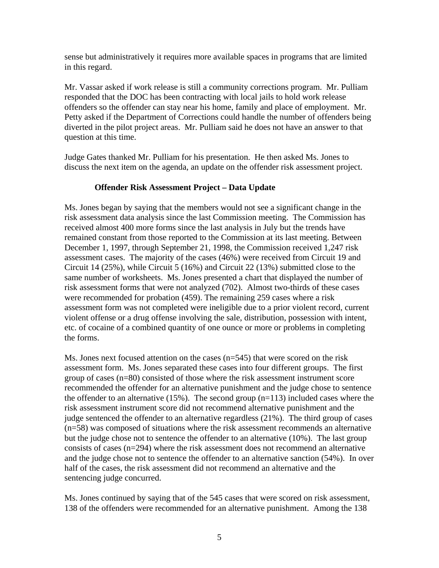sense but administratively it requires more available spaces in programs that are limited in this regard.

Mr. Vassar asked if work release is still a community corrections program. Mr. Pulliam responded that the DOC has been contracting with local jails to hold work release offenders so the offender can stay near his home, family and place of employment. Mr. Petty asked if the Department of Corrections could handle the number of offenders being diverted in the pilot project areas. Mr. Pulliam said he does not have an answer to that question at this time.

Judge Gates thanked Mr. Pulliam for his presentation. He then asked Ms. Jones to discuss the next item on the agenda, an update on the offender risk assessment project.

# **Offender Risk Assessment Project – Data Update**

Ms. Jones began by saying that the members would not see a significant change in the risk assessment data analysis since the last Commission meeting. The Commission has received almost 400 more forms since the last analysis in July but the trends have remained constant from those reported to the Commission at its last meeting. Between December 1, 1997, through September 21, 1998, the Commission received 1,247 risk assessment cases. The majority of the cases (46%) were received from Circuit 19 and Circuit 14 (25%), while Circuit 5 (16%) and Circuit 22 (13%) submitted close to the same number of worksheets. Ms. Jones presented a chart that displayed the number of risk assessment forms that were not analyzed (702). Almost two-thirds of these cases were recommended for probation (459). The remaining 259 cases where a risk assessment form was not completed were ineligible due to a prior violent record, current violent offense or a drug offense involving the sale, distribution, possession with intent, etc. of cocaine of a combined quantity of one ounce or more or problems in completing the forms.

Ms. Jones next focused attention on the cases  $(n=545)$  that were scored on the risk assessment form. Ms. Jones separated these cases into four different groups. The first group of cases (n=80) consisted of those where the risk assessment instrument score recommended the offender for an alternative punishment and the judge chose to sentence the offender to an alternative  $(15%)$ . The second group  $(n=113)$  included cases where the risk assessment instrument score did not recommend alternative punishment and the judge sentenced the offender to an alternative regardless (21%). The third group of cases (n=58) was composed of situations where the risk assessment recommends an alternative but the judge chose not to sentence the offender to an alternative (10%). The last group consists of cases (n=294) where the risk assessment does not recommend an alternative and the judge chose not to sentence the offender to an alternative sanction (54%). In over half of the cases, the risk assessment did not recommend an alternative and the sentencing judge concurred.

Ms. Jones continued by saying that of the 545 cases that were scored on risk assessment, 138 of the offenders were recommended for an alternative punishment. Among the 138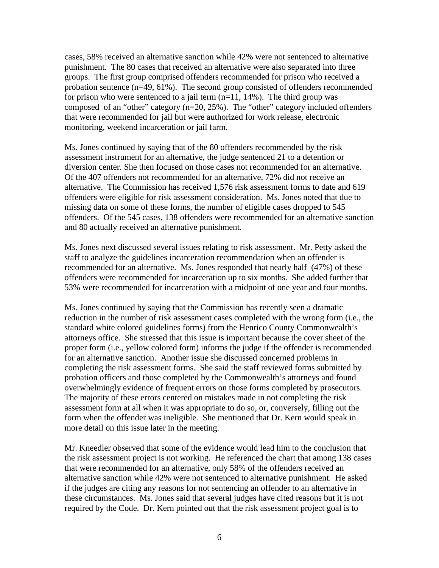cases, 58% received an alternative sanction while 42% were not sentenced to alternative punishment. The 80 cases that received an alternative were also separated into three groups. The first group comprised offenders recommended for prison who received a probation sentence (n=49, 61%). The second group consisted of offenders recommended for prison who were sentenced to a jail term  $(n=11, 14\%)$ . The third group was composed of an "other" category (n=20, 25%). The "other" category included offenders that were recommended for jail but were authorized for work release, electronic monitoring, weekend incarceration or jail farm.

Ms. Jones continued by saying that of the 80 offenders recommended by the risk assessment instrument for an alternative, the judge sentenced 21 to a detention or diversion center. She then focused on those cases not recommended for an alternative. Of the 407 offenders not recommended for an alternative, 72% did not receive an alternative. The Commission has received 1,576 risk assessment forms to date and 619 offenders were eligible for risk assessment consideration. Ms. Jones noted that due to missing data on some of these forms, the number of eligible cases dropped to 545 offenders. Of the 545 cases, 138 offenders were recommended for an alternative sanction and 80 actually received an alternative punishment.

Ms. Jones next discussed several issues relating to risk assessment. Mr. Petty asked the staff to analyze the guidelines incarceration recommendation when an offender is recommended for an alternative. Ms. Jones responded that nearly half (47%) of these offenders were recommended for incarceration up to six months. She added further that 53% were recommended for incarceration with a midpoint of one year and four months.

Ms. Jones continued by saying that the Commission has recently seen a dramatic reduction in the number of risk assessment cases completed with the wrong form (i.e., the standard white colored guidelines forms) from the Henrico County Commonwealth's attorneys office. She stressed that this issue is important because the cover sheet of the proper form (i.e., yellow colored form) informs the judge if the offender is recommended for an alternative sanction. Another issue she discussed concerned problems in completing the risk assessment forms. She said the staff reviewed forms submitted by probation officers and those completed by the Commonwealth's attorneys and found overwhelmingly evidence of frequent errors on those forms completed by prosecutors. The majority of these errors centered on mistakes made in not completing the risk assessment form at all when it was appropriate to do so, or, conversely, filling out the form when the offender was ineligible. She mentioned that Dr. Kern would speak in more detail on this issue later in the meeting.

Mr. Kneedler observed that some of the evidence would lead him to the conclusion that the risk assessment project is not working. He referenced the chart that among 138 cases that were recommended for an alternative, only 58% of the offenders received an alternative sanction while 42% were not sentenced to alternative punishment. He asked if the judges are citing any reasons for not sentencing an offender to an alternative in these circumstances. Ms. Jones said that several judges have cited reasons but it is not required by the Code. Dr. Kern pointed out that the risk assessment project goal is to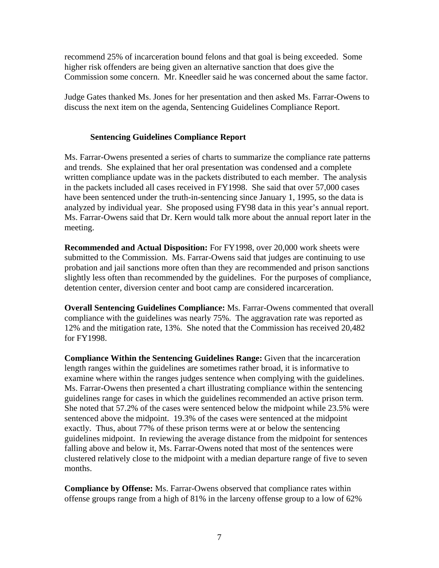recommend 25% of incarceration bound felons and that goal is being exceeded. Some higher risk offenders are being given an alternative sanction that does give the Commission some concern. Mr. Kneedler said he was concerned about the same factor.

Judge Gates thanked Ms. Jones for her presentation and then asked Ms. Farrar-Owens to discuss the next item on the agenda, Sentencing Guidelines Compliance Report.

# **Sentencing Guidelines Compliance Report**

Ms. Farrar-Owens presented a series of charts to summarize the compliance rate patterns and trends. She explained that her oral presentation was condensed and a complete written compliance update was in the packets distributed to each member. The analysis in the packets included all cases received in FY1998. She said that over 57,000 cases have been sentenced under the truth-in-sentencing since January 1, 1995, so the data is analyzed by individual year. She proposed using FY98 data in this year's annual report. Ms. Farrar-Owens said that Dr. Kern would talk more about the annual report later in the meeting.

**Recommended and Actual Disposition:** For FY1998, over 20,000 work sheets were submitted to the Commission. Ms. Farrar-Owens said that judges are continuing to use probation and jail sanctions more often than they are recommended and prison sanctions slightly less often than recommended by the guidelines. For the purposes of compliance, detention center, diversion center and boot camp are considered incarceration.

**Overall Sentencing Guidelines Compliance:** Ms. Farrar-Owens commented that overall compliance with the guidelines was nearly 75%. The aggravation rate was reported as 12% and the mitigation rate, 13%. She noted that the Commission has received 20,482 for FY1998.

**Compliance Within the Sentencing Guidelines Range:** Given that the incarceration length ranges within the guidelines are sometimes rather broad, it is informative to examine where within the ranges judges sentence when complying with the guidelines. Ms. Farrar-Owens then presented a chart illustrating compliance within the sentencing guidelines range for cases in which the guidelines recommended an active prison term. She noted that 57.2% of the cases were sentenced below the midpoint while 23.5% were sentenced above the midpoint. 19.3% of the cases were sentenced at the midpoint exactly. Thus, about 77% of these prison terms were at or below the sentencing guidelines midpoint. In reviewing the average distance from the midpoint for sentences falling above and below it, Ms. Farrar-Owens noted that most of the sentences were clustered relatively close to the midpoint with a median departure range of five to seven months.

**Compliance by Offense:** Ms. Farrar-Owens observed that compliance rates within offense groups range from a high of 81% in the larceny offense group to a low of 62%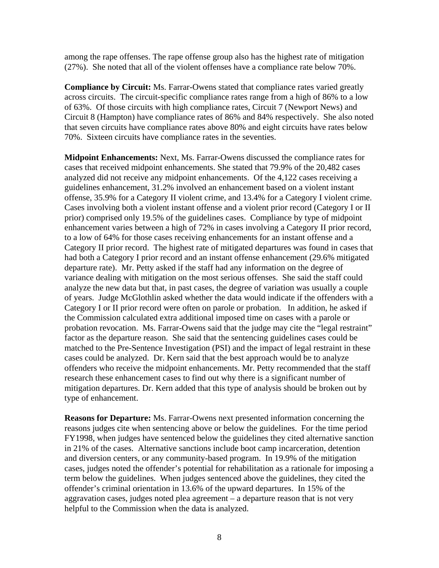among the rape offenses. The rape offense group also has the highest rate of mitigation (27%). She noted that all of the violent offenses have a compliance rate below 70%.

**Compliance by Circuit:** Ms. Farrar-Owens stated that compliance rates varied greatly across circuits. The circuit-specific compliance rates range from a high of 86% to a low of 63%. Of those circuits with high compliance rates, Circuit 7 (Newport News) and Circuit 8 (Hampton) have compliance rates of 86% and 84% respectively. She also noted that seven circuits have compliance rates above 80% and eight circuits have rates below 70%. Sixteen circuits have compliance rates in the seventies.

**Midpoint Enhancements:** Next, Ms. Farrar-Owens discussed the compliance rates for cases that received midpoint enhancements. She stated that 79.9% of the 20,482 cases analyzed did not receive any midpoint enhancements. Of the 4,122 cases receiving a guidelines enhancement, 31.2% involved an enhancement based on a violent instant offense, 35.9% for a Category II violent crime, and 13.4% for a Category I violent crime. Cases involving both a violent instant offense and a violent prior record (Category I or II prior) comprised only 19.5% of the guidelines cases. Compliance by type of midpoint enhancement varies between a high of 72% in cases involving a Category II prior record, to a low of 64% for those cases receiving enhancements for an instant offense and a Category II prior record. The highest rate of mitigated departures was found in cases that had both a Category I prior record and an instant offense enhancement (29.6% mitigated departure rate). Mr. Petty asked if the staff had any information on the degree of variance dealing with mitigation on the most serious offenses. She said the staff could analyze the new data but that, in past cases, the degree of variation was usually a couple of years. Judge McGlothlin asked whether the data would indicate if the offenders with a Category I or II prior record were often on parole or probation. In addition, he asked if the Commission calculated extra additional imposed time on cases with a parole or probation revocation. Ms. Farrar-Owens said that the judge may cite the "legal restraint" factor as the departure reason. She said that the sentencing guidelines cases could be matched to the Pre-Sentence Investigation (PSI) and the impact of legal restraint in these cases could be analyzed. Dr. Kern said that the best approach would be to analyze offenders who receive the midpoint enhancements. Mr. Petty recommended that the staff research these enhancement cases to find out why there is a significant number of mitigation departures. Dr. Kern added that this type of analysis should be broken out by type of enhancement.

**Reasons for Departure:** Ms. Farrar-Owens next presented information concerning the reasons judges cite when sentencing above or below the guidelines. For the time period FY1998, when judges have sentenced below the guidelines they cited alternative sanction in 21% of the cases. Alternative sanctions include boot camp incarceration, detention and diversion centers, or any community-based program. In 19.9% of the mitigation cases, judges noted the offender's potential for rehabilitation as a rationale for imposing a term below the guidelines. When judges sentenced above the guidelines, they cited the offender's criminal orientation in 13.6% of the upward departures. In 15% of the aggravation cases, judges noted plea agreement – a departure reason that is not very helpful to the Commission when the data is analyzed.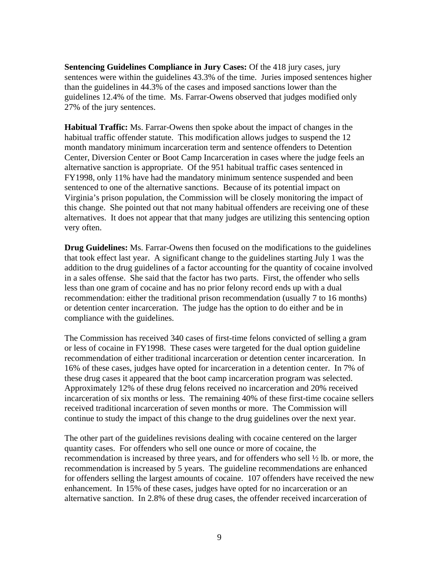**Sentencing Guidelines Compliance in Jury Cases:** Of the 418 jury cases, jury sentences were within the guidelines 43.3% of the time. Juries imposed sentences higher than the guidelines in 44.3% of the cases and imposed sanctions lower than the guidelines 12.4% of the time. Ms. Farrar-Owens observed that judges modified only 27% of the jury sentences.

**Habitual Traffic:** Ms. Farrar-Owens then spoke about the impact of changes in the habitual traffic offender statute. This modification allows judges to suspend the 12 month mandatory minimum incarceration term and sentence offenders to Detention Center, Diversion Center or Boot Camp Incarceration in cases where the judge feels an alternative sanction is appropriate. Of the 951 habitual traffic cases sentenced in FY1998, only 11% have had the mandatory minimum sentence suspended and been sentenced to one of the alternative sanctions. Because of its potential impact on Virginia's prison population, the Commission will be closely monitoring the impact of this change. She pointed out that not many habitual offenders are receiving one of these alternatives. It does not appear that that many judges are utilizing this sentencing option very often.

**Drug Guidelines:** Ms. Farrar-Owens then focused on the modifications to the guidelines that took effect last year. A significant change to the guidelines starting July 1 was the addition to the drug guidelines of a factor accounting for the quantity of cocaine involved in a sales offense. She said that the factor has two parts. First, the offender who sells less than one gram of cocaine and has no prior felony record ends up with a dual recommendation: either the traditional prison recommendation (usually 7 to 16 months) or detention center incarceration. The judge has the option to do either and be in compliance with the guidelines.

The Commission has received 340 cases of first-time felons convicted of selling a gram or less of cocaine in FY1998. These cases were targeted for the dual option guideline recommendation of either traditional incarceration or detention center incarceration. In 16% of these cases, judges have opted for incarceration in a detention center. In 7% of these drug cases it appeared that the boot camp incarceration program was selected. Approximately 12% of these drug felons received no incarceration and 20% received incarceration of six months or less. The remaining 40% of these first-time cocaine sellers received traditional incarceration of seven months or more. The Commission will continue to study the impact of this change to the drug guidelines over the next year.

The other part of the guidelines revisions dealing with cocaine centered on the larger quantity cases. For offenders who sell one ounce or more of cocaine, the recommendation is increased by three years, and for offenders who sell ½ lb. or more, the recommendation is increased by 5 years. The guideline recommendations are enhanced for offenders selling the largest amounts of cocaine. 107 offenders have received the new enhancement. In 15% of these cases, judges have opted for no incarceration or an alternative sanction. In 2.8% of these drug cases, the offender received incarceration of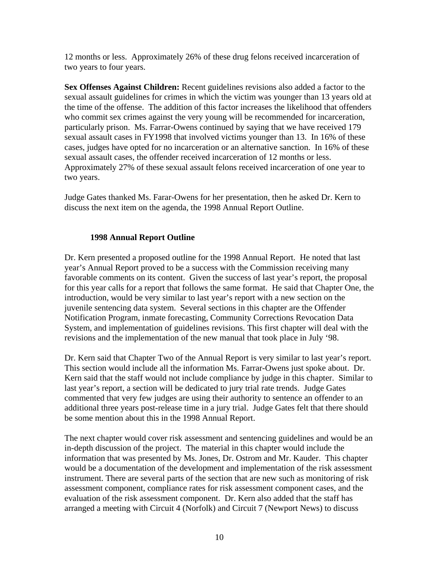12 months or less. Approximately 26% of these drug felons received incarceration of two years to four years.

**Sex Offenses Against Children:** Recent guidelines revisions also added a factor to the sexual assault guidelines for crimes in which the victim was younger than 13 years old at the time of the offense. The addition of this factor increases the likelihood that offenders who commit sex crimes against the very young will be recommended for incarceration, particularly prison. Ms. Farrar-Owens continued by saying that we have received 179 sexual assault cases in FY1998 that involved victims younger than 13. In 16% of these cases, judges have opted for no incarceration or an alternative sanction. In 16% of these sexual assault cases, the offender received incarceration of 12 months or less. Approximately 27% of these sexual assault felons received incarceration of one year to two years.

Judge Gates thanked Ms. Farar-Owens for her presentation, then he asked Dr. Kern to discuss the next item on the agenda, the 1998 Annual Report Outline.

# **1998 Annual Report Outline**

Dr. Kern presented a proposed outline for the 1998 Annual Report. He noted that last year's Annual Report proved to be a success with the Commission receiving many favorable comments on its content. Given the success of last year's report, the proposal for this year calls for a report that follows the same format. He said that Chapter One, the introduction, would be very similar to last year's report with a new section on the juvenile sentencing data system. Several sections in this chapter are the Offender Notification Program, inmate forecasting, Community Corrections Revocation Data System, and implementation of guidelines revisions. This first chapter will deal with the revisions and the implementation of the new manual that took place in July '98.

Dr. Kern said that Chapter Two of the Annual Report is very similar to last year's report. This section would include all the information Ms. Farrar-Owens just spoke about. Dr. Kern said that the staff would not include compliance by judge in this chapter. Similar to last year's report, a section will be dedicated to jury trial rate trends. Judge Gates commented that very few judges are using their authority to sentence an offender to an additional three years post-release time in a jury trial. Judge Gates felt that there should be some mention about this in the 1998 Annual Report.

The next chapter would cover risk assessment and sentencing guidelines and would be an in-depth discussion of the project. The material in this chapter would include the information that was presented by Ms. Jones, Dr. Ostrom and Mr. Kauder. This chapter would be a documentation of the development and implementation of the risk assessment instrument. There are several parts of the section that are new such as monitoring of risk assessment component, compliance rates for risk assessment component cases, and the evaluation of the risk assessment component. Dr. Kern also added that the staff has arranged a meeting with Circuit 4 (Norfolk) and Circuit 7 (Newport News) to discuss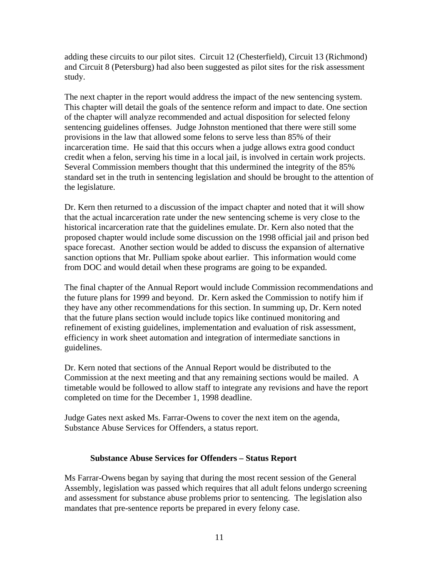adding these circuits to our pilot sites. Circuit 12 (Chesterfield), Circuit 13 (Richmond) and Circuit 8 (Petersburg) had also been suggested as pilot sites for the risk assessment study.

The next chapter in the report would address the impact of the new sentencing system. This chapter will detail the goals of the sentence reform and impact to date. One section of the chapter will analyze recommended and actual disposition for selected felony sentencing guidelines offenses. Judge Johnston mentioned that there were still some provisions in the law that allowed some felons to serve less than 85% of their incarceration time. He said that this occurs when a judge allows extra good conduct credit when a felon, serving his time in a local jail, is involved in certain work projects. Several Commission members thought that this undermined the integrity of the 85% standard set in the truth in sentencing legislation and should be brought to the attention of the legislature.

Dr. Kern then returned to a discussion of the impact chapter and noted that it will show that the actual incarceration rate under the new sentencing scheme is very close to the historical incarceration rate that the guidelines emulate. Dr. Kern also noted that the proposed chapter would include some discussion on the 1998 official jail and prison bed space forecast. Another section would be added to discuss the expansion of alternative sanction options that Mr. Pulliam spoke about earlier. This information would come from DOC and would detail when these programs are going to be expanded.

The final chapter of the Annual Report would include Commission recommendations and the future plans for 1999 and beyond. Dr. Kern asked the Commission to notify him if they have any other recommendations for this section. In summing up, Dr. Kern noted that the future plans section would include topics like continued monitoring and refinement of existing guidelines, implementation and evaluation of risk assessment, efficiency in work sheet automation and integration of intermediate sanctions in guidelines.

Dr. Kern noted that sections of the Annual Report would be distributed to the Commission at the next meeting and that any remaining sections would be mailed. A timetable would be followed to allow staff to integrate any revisions and have the report completed on time for the December 1, 1998 deadline.

Judge Gates next asked Ms. Farrar-Owens to cover the next item on the agenda, Substance Abuse Services for Offenders, a status report.

## **Substance Abuse Services for Offenders – Status Report**

Ms Farrar-Owens began by saying that during the most recent session of the General Assembly, legislation was passed which requires that all adult felons undergo screening and assessment for substance abuse problems prior to sentencing. The legislation also mandates that pre-sentence reports be prepared in every felony case.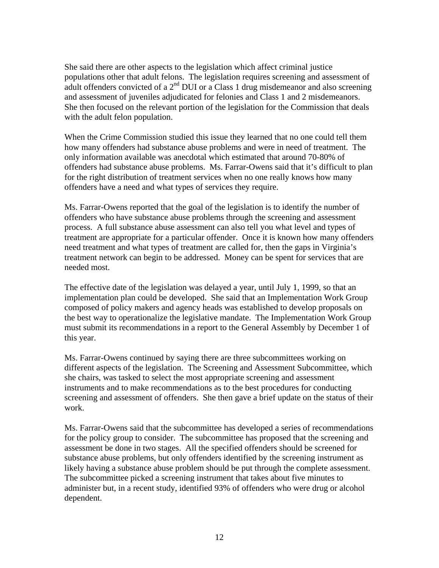She said there are other aspects to the legislation which affect criminal justice populations other that adult felons. The legislation requires screening and assessment of adult offenders convicted of a  $2<sup>nd</sup>$  DUI or a Class 1 drug misdemeanor and also screening and assessment of juveniles adjudicated for felonies and Class 1 and 2 misdemeanors. She then focused on the relevant portion of the legislation for the Commission that deals with the adult felon population.

When the Crime Commission studied this issue they learned that no one could tell them how many offenders had substance abuse problems and were in need of treatment. The only information available was anecdotal which estimated that around 70-80% of offenders had substance abuse problems. Ms. Farrar-Owens said that it's difficult to plan for the right distribution of treatment services when no one really knows how many offenders have a need and what types of services they require.

Ms. Farrar-Owens reported that the goal of the legislation is to identify the number of offenders who have substance abuse problems through the screening and assessment process. A full substance abuse assessment can also tell you what level and types of treatment are appropriate for a particular offender. Once it is known how many offenders need treatment and what types of treatment are called for, then the gaps in Virginia's treatment network can begin to be addressed. Money can be spent for services that are needed most.

The effective date of the legislation was delayed a year, until July 1, 1999, so that an implementation plan could be developed. She said that an Implementation Work Group composed of policy makers and agency heads was established to develop proposals on the best way to operationalize the legislative mandate. The Implementation Work Group must submit its recommendations in a report to the General Assembly by December 1 of this year.

Ms. Farrar-Owens continued by saying there are three subcommittees working on different aspects of the legislation. The Screening and Assessment Subcommittee, which she chairs, was tasked to select the most appropriate screening and assessment instruments and to make recommendations as to the best procedures for conducting screening and assessment of offenders. She then gave a brief update on the status of their work.

Ms. Farrar-Owens said that the subcommittee has developed a series of recommendations for the policy group to consider. The subcommittee has proposed that the screening and assessment be done in two stages. All the specified offenders should be screened for substance abuse problems, but only offenders identified by the screening instrument as likely having a substance abuse problem should be put through the complete assessment. The subcommittee picked a screening instrument that takes about five minutes to administer but, in a recent study, identified 93% of offenders who were drug or alcohol dependent.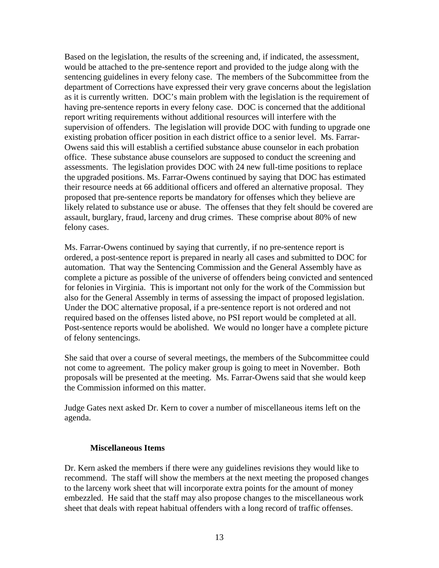Based on the legislation, the results of the screening and, if indicated, the assessment, would be attached to the pre-sentence report and provided to the judge along with the sentencing guidelines in every felony case. The members of the Subcommittee from the department of Corrections have expressed their very grave concerns about the legislation as it is currently written. DOC's main problem with the legislation is the requirement of having pre-sentence reports in every felony case. DOC is concerned that the additional report writing requirements without additional resources will interfere with the supervision of offenders. The legislation will provide DOC with funding to upgrade one existing probation officer position in each district office to a senior level. Ms. Farrar-Owens said this will establish a certified substance abuse counselor in each probation office. These substance abuse counselors are supposed to conduct the screening and assessments. The legislation provides DOC with 24 new full-time positions to replace the upgraded positions. Ms. Farrar-Owens continued by saying that DOC has estimated their resource needs at 66 additional officers and offered an alternative proposal. They proposed that pre-sentence reports be mandatory for offenses which they believe are likely related to substance use or abuse. The offenses that they felt should be covered are assault, burglary, fraud, larceny and drug crimes. These comprise about 80% of new felony cases.

Ms. Farrar-Owens continued by saying that currently, if no pre-sentence report is ordered, a post-sentence report is prepared in nearly all cases and submitted to DOC for automation. That way the Sentencing Commission and the General Assembly have as complete a picture as possible of the universe of offenders being convicted and sentenced for felonies in Virginia. This is important not only for the work of the Commission but also for the General Assembly in terms of assessing the impact of proposed legislation. Under the DOC alternative proposal, if a pre-sentence report is not ordered and not required based on the offenses listed above, no PSI report would be completed at all. Post-sentence reports would be abolished. We would no longer have a complete picture of felony sentencings.

She said that over a course of several meetings, the members of the Subcommittee could not come to agreement. The policy maker group is going to meet in November. Both proposals will be presented at the meeting. Ms. Farrar-Owens said that she would keep the Commission informed on this matter.

Judge Gates next asked Dr. Kern to cover a number of miscellaneous items left on the agenda.

#### **Miscellaneous Items**

Dr. Kern asked the members if there were any guidelines revisions they would like to recommend. The staff will show the members at the next meeting the proposed changes to the larceny work sheet that will incorporate extra points for the amount of money embezzled. He said that the staff may also propose changes to the miscellaneous work sheet that deals with repeat habitual offenders with a long record of traffic offenses.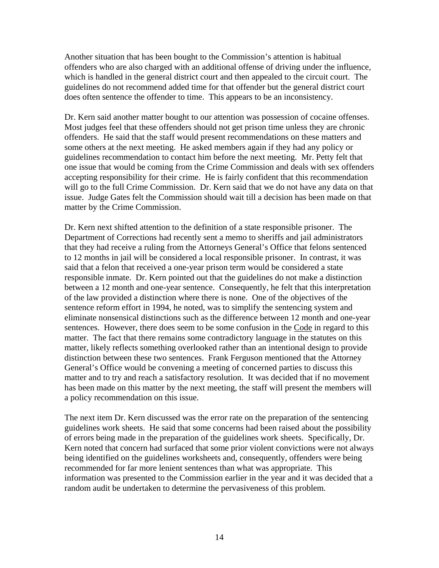Another situation that has been bought to the Commission's attention is habitual offenders who are also charged with an additional offense of driving under the influence, which is handled in the general district court and then appealed to the circuit court. The guidelines do not recommend added time for that offender but the general district court does often sentence the offender to time. This appears to be an inconsistency.

Dr. Kern said another matter bought to our attention was possession of cocaine offenses. Most judges feel that these offenders should not get prison time unless they are chronic offenders. He said that the staff would present recommendations on these matters and some others at the next meeting. He asked members again if they had any policy or guidelines recommendation to contact him before the next meeting. Mr. Petty felt that one issue that would be coming from the Crime Commission and deals with sex offenders accepting responsibility for their crime. He is fairly confident that this recommendation will go to the full Crime Commission. Dr. Kern said that we do not have any data on that issue. Judge Gates felt the Commission should wait till a decision has been made on that matter by the Crime Commission.

Dr. Kern next shifted attention to the definition of a state responsible prisoner. The Department of Corrections had recently sent a memo to sheriffs and jail administrators that they had receive a ruling from the Attorneys General's Office that felons sentenced to 12 months in jail will be considered a local responsible prisoner. In contrast, it was said that a felon that received a one-year prison term would be considered a state responsible inmate. Dr. Kern pointed out that the guidelines do not make a distinction between a 12 month and one-year sentence. Consequently, he felt that this interpretation of the law provided a distinction where there is none. One of the objectives of the sentence reform effort in 1994, he noted, was to simplify the sentencing system and eliminate nonsensical distinctions such as the difference between 12 month and one-year sentences. However, there does seem to be some confusion in the Code in regard to this matter. The fact that there remains some contradictory language in the statutes on this matter, likely reflects something overlooked rather than an intentional design to provide distinction between these two sentences. Frank Ferguson mentioned that the Attorney General's Office would be convening a meeting of concerned parties to discuss this matter and to try and reach a satisfactory resolution. It was decided that if no movement has been made on this matter by the next meeting, the staff will present the members will a policy recommendation on this issue.

The next item Dr. Kern discussed was the error rate on the preparation of the sentencing guidelines work sheets. He said that some concerns had been raised about the possibility of errors being made in the preparation of the guidelines work sheets. Specifically, Dr. Kern noted that concern had surfaced that some prior violent convictions were not always being identified on the guidelines worksheets and, consequently, offenders were being recommended for far more lenient sentences than what was appropriate. This information was presented to the Commission earlier in the year and it was decided that a random audit be undertaken to determine the pervasiveness of this problem.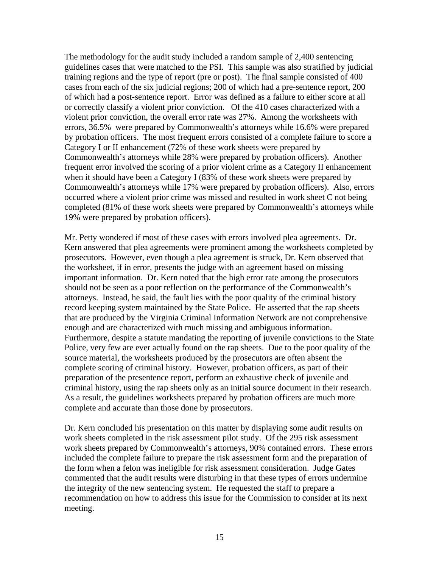The methodology for the audit study included a random sample of 2,400 sentencing guidelines cases that were matched to the PSI. This sample was also stratified by judicial training regions and the type of report (pre or post). The final sample consisted of 400 cases from each of the six judicial regions; 200 of which had a pre-sentence report, 200 of which had a post-sentence report. Error was defined as a failure to either score at all or correctly classify a violent prior conviction. Of the 410 cases characterized with a violent prior conviction, the overall error rate was 27%. Among the worksheets with errors, 36.5% were prepared by Commonwealth's attorneys while 16.6% were prepared by probation officers. The most frequent errors consisted of a complete failure to score a Category I or II enhancement (72% of these work sheets were prepared by Commonwealth's attorneys while 28% were prepared by probation officers). Another frequent error involved the scoring of a prior violent crime as a Category II enhancement when it should have been a Category I (83% of these work sheets were prepared by Commonwealth's attorneys while 17% were prepared by probation officers). Also, errors occurred where a violent prior crime was missed and resulted in work sheet C not being completed (81% of these work sheets were prepared by Commonwealth's attorneys while 19% were prepared by probation officers).

Mr. Petty wondered if most of these cases with errors involved plea agreements. Dr. Kern answered that plea agreements were prominent among the worksheets completed by prosecutors. However, even though a plea agreement is struck, Dr. Kern observed that the worksheet, if in error, presents the judge with an agreement based on missing important information. Dr. Kern noted that the high error rate among the prosecutors should not be seen as a poor reflection on the performance of the Commonwealth's attorneys. Instead, he said, the fault lies with the poor quality of the criminal history record keeping system maintained by the State Police. He asserted that the rap sheets that are produced by the Virginia Criminal Information Network are not comprehensive enough and are characterized with much missing and ambiguous information. Furthermore, despite a statute mandating the reporting of juvenile convictions to the State Police, very few are ever actually found on the rap sheets. Due to the poor quality of the source material, the worksheets produced by the prosecutors are often absent the complete scoring of criminal history. However, probation officers, as part of their preparation of the presentence report, perform an exhaustive check of juvenile and criminal history, using the rap sheets only as an initial source document in their research. As a result, the guidelines worksheets prepared by probation officers are much more complete and accurate than those done by prosecutors.

Dr. Kern concluded his presentation on this matter by displaying some audit results on work sheets completed in the risk assessment pilot study. Of the 295 risk assessment work sheets prepared by Commonwealth's attorneys, 90% contained errors. These errors included the complete failure to prepare the risk assessment form and the preparation of the form when a felon was ineligible for risk assessment consideration. Judge Gates commented that the audit results were disturbing in that these types of errors undermine the integrity of the new sentencing system. He requested the staff to prepare a recommendation on how to address this issue for the Commission to consider at its next meeting.